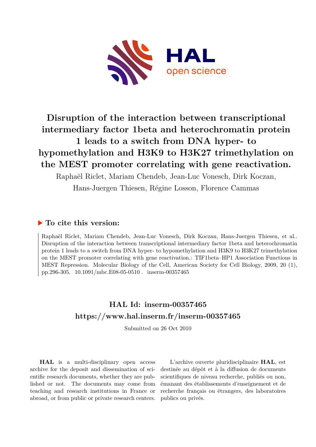

# **Disruption of the interaction between transcriptional intermediary factor 1beta and heterochromatin protein 1 leads to a switch from DNA hyper- to hypomethylation and H3K9 to H3K27 trimethylation on the MEST promoter correlating with gene reactivation.**

Raphaël Riclet, Mariam Chendeb, Jean-Luc Vonesch, Dirk Koczan, Hans-Juergen Thiesen, Régine Losson, Florence Cammas

# **To cite this version:**

Raphaël Riclet, Mariam Chendeb, Jean-Luc Vonesch, Dirk Koczan, Hans-Juergen Thiesen, et al.. Disruption of the interaction between transcriptional intermediary factor 1beta and heterochromatin protein 1 leads to a switch from DNA hyper- to hypomethylation and H3K9 to H3K27 trimethylation on the MEST promoter correlating with gene reactivation.: TIF1beta–HP1 Association Functions in MEST Repression. Molecular Biology of the Cell, American Society for Cell Biology, 2009, 20 (1), pp.296-305.  $10.1091/mbc.E08-05-0510$ . inserm-00357465

# **HAL Id: inserm-00357465 <https://www.hal.inserm.fr/inserm-00357465>**

Submitted on 26 Oct 2010

**HAL** is a multi-disciplinary open access archive for the deposit and dissemination of scientific research documents, whether they are published or not. The documents may come from teaching and research institutions in France or abroad, or from public or private research centers.

L'archive ouverte pluridisciplinaire **HAL**, est destinée au dépôt et à la diffusion de documents scientifiques de niveau recherche, publiés ou non, émanant des établissements d'enseignement et de recherche français ou étrangers, des laboratoires publics ou privés.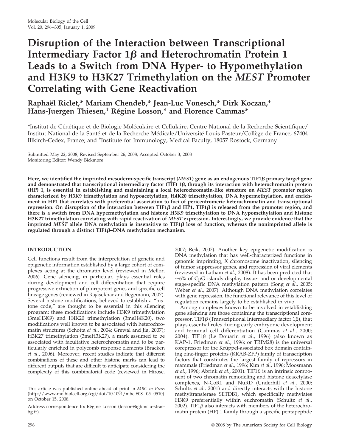# **Disruption of the Interaction between Transcriptional** Intermediary Factor  $1\beta$  and Heterochromatin Protein 1 **Leads to a Switch from DNA Hyper- to Hypomethylation and H3K9 to H3K27 Trimethylation on the** *MEST* **Promoter Correlating with Gene Reactivation**

# **Raphae¨l Riclet,\* Mariam Chendeb,\* Jean-Luc Vonesch,\* Dirk Koczan,† Hans-Juergen Thiesen,† Re´gine Losson,\* and Florence Cammas\***

\*Institut de Génétique et de Biologie Moléculaire et Cellulaire, Centre National de la Recherche Scientifique/ Institut National de la Santé et de la Recherche Médicale/Université Louis Pasteur/Collège de France, 67404 Illkirch-Cedex, France; and <sup>+</sup>Institute for Immunology, Medical Faculty, 18057 Rostock, Germany

Submitted May 22, 2008; Revised September 26, 2008; Accepted October 3, 2008 Monitoring Editor: Wendy Bickmore

**Here, we identified the imprinted mesoderm-specific transcript (***MEST***) gene as an endogenous TIF1 primary target gene and demonstrated that transcriptional intermediary factor (TIF) 1, through its interaction with heterochromatin protein (HP) 1, is essential in establishing and maintaining a local heterochromatin-like structure on** *MEST* **promoter region characterized by H3K9 trimethylation and hypoacetylation, H4K20 trimethylation, DNA hypermethylation, and enrichment in HP1 that correlates with preferential association to foci of pericentromeric heterochromatin and transcriptional repression.** On disruption of the interaction between TIF1 $\beta$  and HP1, TIF1 $\beta$  is released from the promoter region, and **there is a switch from DNA hypermethylation and histone H3K9 trimethylation to DNA hypomethylation and histone H3K27 trimethylation correlating with rapid reactivation of** *MEST* **expression. Interestingly, we provide evidence that the** imprinted *MEST* allele DNA methylation is insensitive to TIF1 $\beta$  loss of function, whereas the nonimprinted allele is **regulated through a distinct TIF1–DNA methylation mechanism.**

# **INTRODUCTION**

Cell functions result from the interpretation of genetic and epigenetic information established by a large cohort of complexes acting at the chromatin level (reviewed in Mellor, 2006). Gene silencing, in particular, plays essential roles during development and cell differentiation that require progressive extinction of pluripotent genes and specific cell lineage genes (reviewed in Rajasekhar and Begemann, 2007). Several histone modifications, believed to establish a "histone code," are thought to be essential in this silencing program; these modifications include H3K9 trimethylation (3meH3K9) and H4K20 trimethylation (3meH4K20), two modifications well known to be associated with heterochromatin structures (Schotta *et al*., 2004; Grewal and Jia, 2007); H3K27 trimethylation (3meH3K27), a mark assumed to be associated with facultative heterochromatin and to be particularly enriched in polycomb response elements (Bracken *et al*., 2006). Moreover, recent studies indicate that different combinations of these and other histone marks can lead to different outputs that are difficult to anticipate considering the complexity of this combinatorial code (reviewed in Hirose,

Address correspondence to: Régine Losson (losson@igbmc.u-strasbg.fr).

2007; Reik, 2007). Another key epigenetic modification is DNA methylation that has well-characterized functions in genomic imprinting, X chromosome inactivation, silencing of tumor suppressor genes, and repression of viral elements (reviewed in Latham *et al*., 2008). It has been predicted that  $\sim$ 6% of CpG islands display tissue- and or developmental stage-specific DNA methylation pattern (Song *et al*., 2005; Weber *et al*., 2007). Although DNA methylation correlates with gene repression, the functional relevance of this level of regulation remains largely to be established in vivo.

Among complexes known to be involved in establishing gene silencing are those containing the transcriptional corepressor, TIF1 $\beta$  (Transcriptional Intermediary factor 1 $\beta$ ), that plays essential roles during early embryonic development and terminal cell differentiation (Cammas *et al*., 2000; 2004). TIF1β (Le Douarin *et al.,* 1996) (also known as KAP-1, Friedman *et al*., 1996; or TRIM28) is the universal corepressor for the Krüppel-associated box domain containing zinc-finger proteins (KRAB-ZFP) family of transcription factors that constitutes the largest family of repressors in mammals (Friedman *et al*., 1996; Kim *et al*., 1996; Moosmann *et al.*, 1996; Abrink *et al.*, 2001). TIF1 $\beta$  is an intrinsic component of two chromatin remodeling and histone deacetylase complexes, N-CoR1 and NuRD (Underhill *et al*., 2000; Schultz *et al*., 2001) and directly interacts with the histone methyltransferase SETDB1, which specifically methylates H3K9 preferentially within euchromatin (Schultz *et al*., 2002). TIF1 $\beta$  also interacts with members of the heterochromatin protein (HP) 1 family through a specific pentapeptide

This article was published online ahead of print in *MBC in Press* (http://www.molbiolcell.org/cgi/doi/10.1091/mbc.E08–05–0510) on October 15, 2008.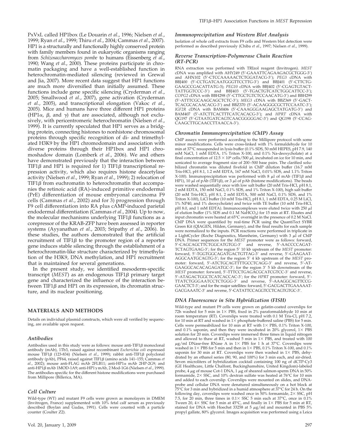PxVxL called HP1box (Le Douarin *et al*., 1996; Nielsen *et al*., 1999; Ryan *et al*., 1999; Thiru *et al*., 2004; Cammas *et al*., 2007). HP1 is a structurally and functionally highly conserved protein with family members found in eukaryotic organisms ranging from *Schizosaccharomyces pombe* to humans (Eissenberg *et al*., 1990; Wang *et al*., 2000). These proteins participate in chromatin packaging and have a well-established function in heterochromatin-mediated silencing (reviewed in Grewal and Jia, 2007). More recent data suggest that HP1 functions are much more diversified than initially assumed. These functions include gene specific silencing (Cryderman *et al*., 2005; Smallwood *et al*., 2007), gene activation (Cryderman *et al*., 2005), and transcriptional elongation (Vakoc *et al*., 2005). Mice and humans have three different HP1 proteins (HP1 $\alpha$ ,  $\beta$ , and  $\gamma$ ) that are associated, although not exclusively, with pericentromeric heterochromatin (Nielsen *et al*., 1999). It is currently speculated that HP1 serves as a bridging protein, connecting histones to nonhistone chromosomal proteins through specific recognition of di- and trimethylated H3K9 by the HP1 chromodomain and association with diverse proteins through their HP1box and HP1 chromoshadow domain (Lomberk *et al*., 2006). We and others have demonstrated previously that the interaction between TIF1 $\beta$  and HP1 is required for 1) TIF1 $\beta$  transcriptional repression activity, which also requires histone deacetylase activity (Nielsen *et al*., 1999; Ryan *et al*., 1999); 2) relocation of TIF1 $\beta$  from euchromatin to heterochromatin that accompanies the retinoic acid (RA)-induced primitive endodermal (PrE) differentiation of mouse embryonal carcinoma F9 cells (Cammas *et al*., 2002) and for 3) progression through F9 cell differentiation into RA plus cAMP-induced parietal endodermal differentiation (Cammas *et al*., 2004). Up to now, the molecular mechanisms underlying TIF1 $\beta$  functions as a corepressor of the KRAB-ZFP have been assessed in reporter systems (Ayyanathan *et al*., 2003; Sripathy *et al*., 2006). In these studies, the authors demonstrated that the artificial recruitment of TIF1 $\beta$  to the promoter region of a reporter gene induces stable silencing through the establishment of a heterochromatin-like structure characterized by trimethylation of the H3K9, DNA methylation, and HP1 recruitment that is maintained for several generations.

In the present study, we identified mesoderm-specific transcript (MEST) as an endogenous TIF1 $\beta$  primary target gene and characterized the influence of the interaction between TIF1 $\beta$  and HP1 on its expression, its chromatin structure, and its nuclear positioning.

### **MATERIALS AND METHODS**

Details on individual plasmid constructs, which were all verified by sequencing, are available upon request.

#### *Antibodies*

Antibodies used in this study were as follows: mouse anti-TIF1 $\beta$  monoclonal antibody (mAb), 1Tb3, raised against recombinant *Escherichia coli* expressed mouse TIF1 $\beta$  (123-834) (Nielsen *et al.*, 1999); rabbit anti-TIF1 $\beta$  polyclonal antibody (pAb), PF64, raised against TIF1 (amino acids 141–155; Cammas *et* al., 2002); mouse anti-FLAG mAb 2FLB11; anti-HP1 $\alpha$  mAb 2HP-2G9; and anti-HP1 mAb 1MOD-1A9; anti-HP1 mAb, 2 Mod-1G6 (Nielsen *et al*., 1999). The antibodies specific for the different histone modifications were purchased from Millipore (Billerica, MA).

#### *Cell Culture*

Wild-type (WT) and mutant F9 cells were grown as monolayers in DMEM (Invitrogen, France) supplemented with 10% fetal calf serum as previously described (Boylan and Gudas, 1991). Cells were counted with a particle counter (Coulter Z2).

#### *Immunoprecipitation and Western Blot Analysis*

Isolation of whole cell extracts from F9 cells and Western blot detection were performed as described previously (Chiba *et al*., 1997; Nielsen *et al*., 1999).

#### *Reverse Transcription-Polymerase Chain Reaction (RT-PCR)*

RNA extraction was performed with TRIzol reagent (Invitrogen). *MEST*<br>cDNA was amplified with AHY249 (5'-GAAATTCAGAAGACGCTGGG-3') and AHN102 (5'-CTCCAAAAACTCTGGATACG-3'); *PEG3* cDNA with BBJ400 (5'-CCTGATCAATGGGTTCCTTG-3') and BBJ401 (5'-CTTCTG-GAAGCCGACATTATG-3); *PEG10* cDNA with BBJ402 (5'-CGAGTGTACT-<br>TATTGGTCCC-3') and BBJ403 (5'-TGACTGTCATCTGGCATTCC-3'); COPG2 cDNA with BBH298 (5'-CTTGCTGTCTCCAACATG-3') and BBH299 (5'-ATTTCGCAAGCAGCTCTC-3'); MEG3 cDNA with BBZ369 (5'-GACT-TCACGCACAACACG-3') and BBZ370 (5'-ACAAGGGCGCTTCCAATC-3'); IGF2R cDNA with BAM406 (5'-CAAAGGGAAGAGCTATGATG-3') and<br>BAM407 (5'-ATCTTCACTTTCATCACACG-3'); and *HPRT* cDNA with QG197 (5'-GTAATGATCAGTCAACGGGGGAC-3') and QG198 (5'-CCAG-CAAGCTTGCAACCTTAACCA-3').

#### *Chromatin Immunoprecipitation (ChIP) Assay*

ChIP assays were performed according to the Millipore protocol with some minor modifications. Cells were cross-linked with 1% formaldehyde for 10 min at 37°C resuspended in lysis buffer (0.1% SDS, 50 mM HEPES, pH 7.9, 140 mM NaCl, 1 mM EDTA, 1% Triton X-100, and 0.1% Na-deoxycholate) at a final concentration of  $12.5 \times 10^6$  cells/500  $\mu$ l, incubated on ice for 10 min, and sonicated to average fragment size of 200–500 base pairs. The clarified solubilized chromatin was diluted fivefold in ChIP dilution buffer (16.7 mM Tris-HCl, pH 8.1, 1.2 mM EDTA, 167 mM NaCl, 0.01% SDS, and 1.1% Triton X-100). Immunoprecipitation was performed with 8 μl of mAb (TIF1β and<br>HP1), 10 μl of pAb (TIF1β), or 3 μl of pAb (histone modifications). The beads were washed sequentially once with low salt buffer (20 mM Tris-HCl, pH 8.1, 2 mM EDTA, 150 mM NaCl, 0.1% SDS, and 1% Triton X-100), high salt buffer (20 mM Tris-HCl, pH 8.1, 2 mM EDTA, 500 mM NaCl, 0.1% SDS, and 1% Triton X-100), LiCl buffer (10 mM Tris-HCl, pH 8.1, 1 mM EDTA, 0.25 M LiCl, 1% NP40, and 1% deoxycholate) and twice with TE buffer (10 mM Tris-HCl, pH 8.0, and 1 mM EDTA). Immunocomplexes were eluted twice with 250  $\mu$ l of elution buffer (1% SDS and 0.1 M Na $\text{HCO}_3$ ) for 15 min at RT. Eluates and input chromatin were heated at 65°C overnight in the presence of 0.2 M NaCl. ChIP DNA were quantified by real-time PCR using the QuantiTect SYBR Green Kit (QIAGEN, Hilden, Germany), and the final results for each sample were normalized to the inputs. PCR reactions were performed in triplicate in a LightCycler (Roche Diagnostics, Mannheim, Germany) with 3  $\mu$ l of ChIP DNA. Primer sequences for the *MEST* promoter were as follows: forward, 5--CAGCAGCTTCTGGCATGTGG-3-' and reverse, 5'-AACCCCAGAT-TCTAGTGAAG-3'; for the region 5' 10 kb upstream of the *MEST* promoter: forward, 5'-TGGTGGCAGATGACTGTTAG-3' and reverse, 5'-GAAGAAT-AGGCAATGCAGTG-3'; for the region 5' 4 kb upstream of the *MEST* pro-<br>moter: forward, 5'-ATCTGCAGTTTTGCCTCAGG-3' and reverse, 5'-AT-GAAGGCACACAGAGATGC-3'; for the region 3' 5 kb downstream of the MEST promoter: forward, 5'-TTTCCTGAGACGCATCGTCC-3' and reverse, 5'-ATAGACTGGCTCATCACCAC-3'; for the *HPRT* promoter: forward, 5'-TTATCTGGGAATCCTCTGGG-3′ and reverse, 5′-AAAGGCAGTTCCG-<br>GAACTCT-3′; and for the major satellites: forward, 5′-GACGACTTGAAAAAT-GACGAAATC-3' and reverse, 5'-CATATTCCAGGTCCTCAGTGTGC-3'.

#### *DNA Fluorescence in Situ Hybridization (FISH)*

Wild-type and mutant F9 cells were grown on gelatin-coated coverslips for 72h washed for 5 min in  $1 \times$  PBS, fixed in 2% paraformaldehyde 10 min at room temperature (RT). Coverslips were treated with 0.1 M Tris-Cl, pH 7.2, for 10 min at RT and washed in  $1\times$  phosphate-buffered saline (PBS) for 5 min. Cells were permeabilized for 10 min at RT with  $1 \times$  PBS, 0.1% Triton X-100, and 0.1% saponin, and then they were incubated in 20% glycerol,  $1 \times$  PBS solution for 20 min. Coverslips were immersed three times in liquid nitrogen and allowed to thaw at RT, washed 5 min in  $1\times$  PBS, and treated with 100  $\mu$ g/ml DNase-free RNase A in 1× PBS for 1 h at 37°C. Coverslips were washed in  $1\times$  PBS for 5 min and then in  $1\times$  PBS, 0.1% Triton X-100, and 0.1% saponin for 30 min at RT. Coverslips were then washed in  $1\times$  PBS, dehydrated by an ethanol series (80, 90, and 100%) for 3 min each, and air-dried. Seven microliters of hybridization cocktail containing 100 ng of dCTP-Cy3 (GE Healthcare, Little Chalfont, Buckinghamshire, United Kingdom)-labeled probe,  $4 \mu$ g of mouse Cot-1 DNA, 1  $\mu$ g of sheared salmon-sperm DNA in 50% formamide,  $2 \times$  SSC, and 10% dextran sulfate was heated at 76°C for 10 min and added to each coverslip. Coverslips were mounted on slides, and DNAprobe and cellular DNA were denatured simultaneously on a hot block at  $75^{\circ}$ C for 3 min and hybridized in a humid atmosphere at  $37^{\circ}$ C for 24 h. On the following day, coverslips were washed once in 50% formamide,  $2\times$  SSC, pH 7.5, for 20 min, three times in  $0.1 \times$  SSC 5 min each at 37°C, once in 0.1% Tween 20,  $4 \times$  SSC for 5 min at 45°C, and finally in  $1 \times$  PBS for 5 min at RT, stained for DNA with Hoechst 33258 at 5  $\mu$ g/ml and mounted in PBS 5% propyl gallate, 80% glycerol. Images acquisition was performed using a Leica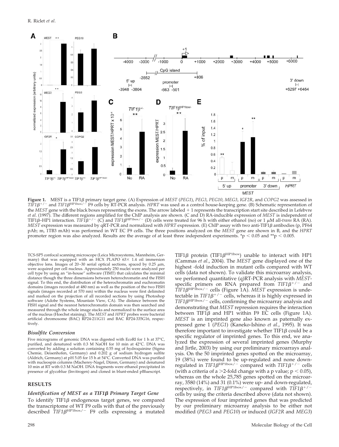

**Figure 1.** MEST is a TIF1β primary target gene. (A) Expression of MEST (PEG1), PEG3, PEG10, MEG3, IGF2R, and COPG2 was assessed in<br>TIF1β<sup>+/-</sup> and TIF1β<sup>HP1box/-</sup> F9 cells by RT-PCR analysis. HPRT was used as a control ho the *MEST* gene with the black boxes representing the exons. The arrow labeled  $+1$  represents the transcription start site described in Lefebvre *et al*. (1997). The different regions amplified for the ChIP analysis are shown. (C and D) RA-inducible expression of *MEST* is independent of TIF1 $\beta$ –HP1 interaction. *TIF1* $\beta^{+/-}$  (C) and *TIF1* $\beta^{HP1box/-}$  (D) cells were treated for 96 h with either ethanol (no) or 1  $\mu$ M all-*trans* RA (RA). *MEST* expression was measured by qRT-PCR and normalized with *HPRT* expression. (Ε) ChIP assay with two anti-TIF1β antibodies (p, PF64 pAb; m, 1TB3 mAb) was performed in WT EC F9 cells. The three positions analyzed on the *MEST* gene are shown in B, and the *HPRT* promoter region was also analyzed. Results are the average of at least three independent experiments. \*p  $< 0.05$  and \*\*p  $< 0.005$ .

TCS-SP5 confocal scanning microscope (Leica Microsystems, Mannheim, Germany) that was equipped with an HCX PLAPO 63× 1.4 oil immersion objective lens. Images of 20–30 serial optical sections, spaced by 0.25  $\mu$ m, were acquired per cell nucleus. Approximately 250 nuclei were analyzed per cell type by using an "in-house" software (TIMT) that calculates the minimal distance though the three dimensions between heterochromatin and the FISH signal. To this end, the distribution of the heterochromatin and euchromatin domains (images recorded at 480 nm) as well as the position of the two FISH signals (images recorded at 570 nm) within the nucleus were first delimited and marked on the projection of all recorded sections by using Photoshop software (Adobe Systems, Mountain View, CA). The distance between the FISH signal and the nearest heterochromatin domain was then searched and measured through the whole image stacks and normalized to the surface area of the nucleus (Hoechst staining). The *MEST* and *HPRT* probes were bacterial artificial chromosome (BAC) RP24-211G11 and BAC RP24-335G16, respectively.

#### *Bisulfite Conversion*

Five micrograms of genomic DNA was digested with EcoRI for 1 h at 37°C, purified, and denatured with 0.3 M NaOH for 10 min at 42°C. DNA was converted by adding a solution containing 0.55 mg of hydroquinine (Sigma Chemie, Deisenhofen, Germany) and 0.202 g of sodium hydrogen sulfite (Aldrich, Germany) at pH 5.05 for 15 h at 54°C. Converted DNA was purified with nucleospin columns (Macherey-Nagel, Düren, Germany) and denatured 10 min at RT with 0.3 M NaOH. DNA fragments were ethanol precipitated in presence of glycoblue (Invitrogen) and cloned in blunt-ended pBluescript.

#### **RESULTS**

#### *Identification of MEST as a TIF1β Primary Target Gene*

To identify TIF1 $\beta$  endogenous target genes, we compared the transcriptome of WT F9 cells with that of the previously described  $TIF1\beta^{HP1box/-}$  F9 cells expressing a mutated TIF1 $\beta$  protein (TIF1 $\beta$ <sup>HP1box</sup>) unable to interact with HP1 (Cammas *et al*., 2004). The *MEST* gene displayed one of the highest -fold induction in mutant cells compared with WT cells (data not shown). To validate this microarray analysis, we performed quantitative (q)RT-PCR analysis with *MEST*specific primers on RNA prepared from  $TIF1\beta^{+/-}$  and *TIF1* $\beta$ <sup>HP1box/-</sup> cells (Figure 1A). *MEST* expression is undetectable in  $TIF1\beta^{+/-}$  cells, whereas it is highly expressed in  $TIF1B^{\text{HP1box}/-}$  cells, confirming the microarray analysis and demonstrating that *MEST* repression requires the interaction between TIF1 $\beta$  and HP1 within F9 EC cells (Figure 1A). *MEST* is an imprinted gene also known as paternally expressed gene 1 (*PEG1*) (Kaneko-Ishino *et al*., 1995). It was therefore important to investigate whether  $TIF1\beta$  could be a specific regulator of imprinted genes. To this end, we analyzed the expression of several imprinted genes (Murphy and Jirtle, 2003) by using our preliminary microarrays analysis. On the 50 imprinted genes spotted on the microarray, 19 (38%) were found to be up-regulated and none downregulated in  $TIF1\beta^{HP1box/-}$  compared with  $TIF1\beta^{+/-}$  cells (with a criteria of a  $>$ 2-fold change with a p value;  $p < 0.05$ ), whereas on the whole 25,785 genes spotted on the microarray, 3580 (14%) and 31 (0.1%) were up- and down-regulated, respectively, in *TIF1* $\beta$ <sup>HP1box/-</sup> compared with *TIF1* $\beta$ <sup>+/-</sup> cells by using the criteria described above (data not shown). The expression of four imprinted genes that was predicted by our preliminary microarray analysis to be either not modified (*PEG3* and *PEG10*) or induced (*IGF2R* and *MEG3*)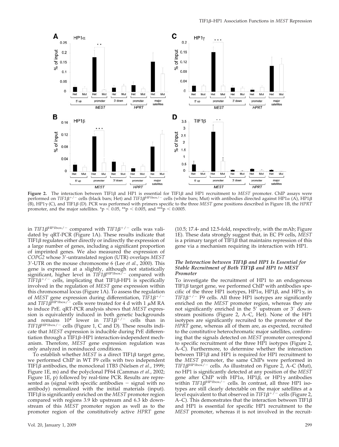

Fi**gure 2.** The interaction between TIF1β and HP1 is essential for TIF1β and HP1 recruitment to MEST promoter. ChIP assays were<br>performed on TIF1β+/<sup>-</sup> cells (black bars; Het) and TIF1β<sup>HP1box/-</sup> cells (white bars; Mut) w  $(B)$ , HP1 $\gamma$  (C), and TIF1 $\beta$  (D). PCR was performed with primers specific to the three *MEST* gene positions described in Figure 1B, the *HPRT* promoter, and the major satellites. \*p < 0.05, \*\*p < 0.005, and \*\*\*p < 0.0005.

in  $TIF1\beta^{HP1box/-}$  compared with  $TIF1\beta^{+/-}$  cells was validated by qRT-PCR (Figure 1A). These results indicate that TIF1 $\beta$  regulates either directly or indirectly the expression of a large number of genes, including a significant proportion of imprinted genes. We also measured the expression of *COPG2* whose 3--untranslated region (UTR) overlaps *MEST* 3--UTR on the mouse chromosome 6 (Lee *et al*., 2000). This gene is expressed at a slightly, although not statistically significant, higher level in  $TIF1\beta^{HP1box}$ <sup>-</sup> compared with  $T\overline{I}F1\beta^{+/-}$  cells, implicating that TIF1 $\beta$ -HP1 is specifically involved in the regulation of *MEST* gene expression within this chromosomal locus (Figure 1A). To assess the regulation of *MEST* gene expression during differentiation,  $TIF1\beta^{+/-}$ and *TIF1* $\beta^{\text{HP1box}/-}$  cells were treated for 4 d with 1  $\mu$ M RA to induce PrE. qRT-PCR analysis shows that *MEST* expression is equivalently induced in both genetic backgrounds and remains  $10^4$  lower in  $TIF1\beta^+/-$  cells than in  $TIF1\beta$ <sup>HP1box/-</sup> cells (Figure 1, C and D). These results indicate that *MEST* expression is inducible during PrE differentiation through a TIF1 $\beta$ -HP1 interaction-independent mechanism. Therefore, *MEST* gene expression regulation was only analyzed in noninduced conditions.

To establish whether  $MEST$  is a direct  $TIF1\beta$  target gene, we performed ChIP in WT F9 cells with two independent TIF1β antibodies, the monoclonal 1TB3 (Nielsen *et al.*, 1999; Figure 1E, m) and the polyclonal PF64 (Cammas *et al*., 2002; Figure 1E, p) followed by real-time PCR. Results are represented as (signal with specific antibodies  $-$  signal with no antibody) normalized with the initial materials (input). TIF1 $\beta$  is significantly enriched on the *MEST* promoter region compared with regions 3.9 kb upstream and 6.3 kb downstream of this *MEST* promoter region as well as to the promoter region of the constitutively active *HPRT* gene (10.5; 17.4- and 12.5-fold, respectively, with the mAb; Figure 1E). These data strongly suggest that, in EC F9 cells, *MEST* is a primary target of  $TIF1\beta$  that maintains repression of this gene via a mechanism requiring its interaction with HP1.

### *The Interaction between TIF1β and HP1 Is Essential for Stable Recruitment of Both TIF1 and HP1 to MEST Promoter*

To investigate the recruitment of HP1 to an endogenous TIF1 $\beta$  target gene, we performed ChIP with antibodies specific of the three HP1 isotypes, HP1 $\alpha$ , HP1 $\beta$ , and HP1 $\gamma$ , in  $TIF1\beta^{+/-}$  F9 cells. All three HP1 isotypes are significantly enriched on the *MEST* promoter region, whereas they are not significantly enriched in the 5' upstream or 3' downstream positions (Figure 2, A–C, Het). None of the HP1 isotypes are significantly recruited to the promoter of the *HPRT* gene, whereas all of them are, as expected, recruited to the constitutive heterochromatic major satellites, confirming that the signals detected on *MEST* promoter correspond to specific recruitment of the three HP1 isotypes (Figure 2, A–C). Furthermore, to determine whether the interaction between TIF1 $\beta$  and HP1 is required for HP1 recruitment to the *MEST* promoter, the same ChIPs were performed in TIF1 $\beta$ <sup>HP1box</sup>/<sup>-</sup> cells. As illustrated on Figure 2, A–C (Mut), no HP1 is significantly detected at any position of the *MEST* gene after ChIP with HP1 $\alpha$ , HP1 $\beta$ , or HP1 $\gamma$  antibodies within  $TIF1\beta^{HP1box/-}$  cells. In contrast, all three HP1 isotypes are still clearly detectable on the major satellites at a level equivalent to that observed in  $TIF1\beta^{+/-}$  cells (Figure 2, A–C). This demonstrates that the interaction between TIF1 $\beta$ and HP1 is essential for specific HP1 recruitment to the *MEST* promoter, whereas it is not involved in the recruit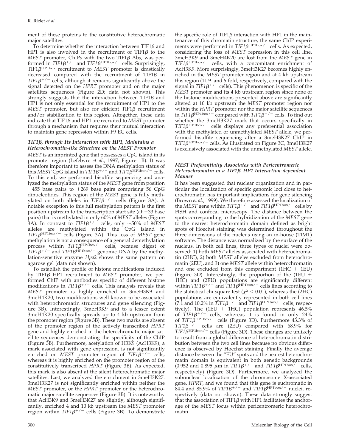ment of these proteins to the constitutive heterochromatic major satellites.

To determine whether the interaction between TIF1 $\beta$  and HP1 is also involved in the recruitment of TIF1 $\beta$  to the *MEST* promoter, ChIPs with the two TIF1 $\beta$  Abs, was performed in  $TIF1\beta^{+/-}$  and  $TIF1\beta^{HP1box/-}$  cells. Surprisingly, TIF1 $\beta^{\text{HP1box}}$  recruitment to *MEST* promoter is drastically decreased compared with the recruitment of TIF1 $\beta$  in  $TIF1\beta^{+/-}$  cells, although it remains significantly above the signal detected on the *HPRT* promoter and on the major satellites sequences (Figure 2D; data not shown). This strongly suggests that the interaction between TIF1 $\beta$  and HP1 is not only essential for the recruitment of HP1 to the  $MEST$  promoter, but also for efficient  $TIF1\beta$  recruitment and/or stabilization to this region. Altogether, these data indicate that TIF1 $\beta$  and HP1 are recruited to *MEST* promoter through a mechanism that requires their mutual interaction to maintain gene repression within F9 EC cells.

# *TIF1, through Its Interaction with HP1, Maintains a Heterochromatin-like Structure on the MEST Promoter*

*MEST* is an imprinted gene that possesses a CpG island in its promoter region (Lefebvre *et al*., 1997; Figure 1B). It was therefore important to assess the DNA methylation status of this *MEST* CpG island in *TIF1* $\beta^{+/-}$  and *TIF1* $\beta^{HP1box/-}$  cells. To this end, we performed bisulfite sequencing and analyzed the methylation status of the *MEST* gene from position  $-455$  base pairs to  $+269$  base pairs comprising 56 CpG dinucleotides. This region of the *MEST* gene is fully methylated on both alleles in *TIF1* $\beta^{+/-}$  cells (Figure 3A). A notable exception to this full methylation pattern is the first position upstream to the transcription start site (at  $-33$  base pairs) that is methylated in only 60% of *MEST* alleles (Figure 3A). In contrast to  $TIF1\beta^{+/-}$  cells, only  $\sim$ 50% of *MEST* alleles are methylated within the CpG island in *TIF1* $\beta$ <sup>HP1box/-</sup> cells (Figure 3A). This loss of *MEST* gene methylation is not a consequence of a general demethylation process within  $TIF1\beta^{HP1\bar{b}ox/-}$  cells, because digest of  $TIF1\beta^{+/}$  and  $TIF1\beta^{HP1box/-}$  genomic DNA by the methylation-sensitive enzyme *Hpa*2 shows the same pattern on agarose gel (data not shown).

To establish the profile of histone modifications induced by TIF1–HP1 recruitment to *MEST* promoter, we performed ChIP with antibodies specific of different histone modifications in  $TIF1\beta^{+/-}$  cells. This analysis reveals that *MEST* promoter is highly enriched in 3meH3K9 and 3meH4K20, two modifications well known to be associated with heterochromatin structures and gene silencing (Figure 3B). Interestingly, 3meH3K9 and to a lesser extent 3meH4K20 specifically spreads up to 4 kb upstream from the promoter region (Figure 3B). These two marks are absent of the promoter region of the actively transcribed *HPRT* gene and highly enriched in the heterochromatic major satellite sequences demonstrating the specificity of the ChIP (Figure 3B). Furthermore, acetylation of H3K9 (AcH3K9), a mark associated with gene expression, is not significantly enriched on *MEST* promoter region of  $TIF1\beta^{+/}$  cells, whereas it is highly enriched on the promoter region of the constitutively transcribed *HPRT* (Figure 3B). As expected, this mark is also absent at the silent heterochromatic major satellites. Last, we analyzed the enrichment in 3meH3K27. 3meH3K27 is not significantly enriched within neither the *MEST* promoter, or the *HPRT* promoter or the heterochromatic major satellite sequences (Figure 3B). It is noteworthy that AcH3K9 and 3meH3K27 are slightly, although significantly, enriched 4 and 10 kb upstream the *MEST* promoter region within  $TIF1\beta^{+/-}$  cells (Figure 3B). To demonstrate

the specific role of TIF1 $\beta$  interaction with HP1 in the maintenance of this chromatin structure, the same ChIP experiments were performed in  $TIF1\beta^{HP1box/-}$  cells. As expected, considering the loss of *MEST* repression in this cell line, 3meH3K9 and 3meH4K20 are lost from the *MEST* gene in TIF1 $\beta^{\text{HP1box}/-}$  cells, with a concomitant enrichment of AcH3K9. More surprisingly, 3meH3K27 becomes highly enriched in the *MEST* promoter region and at 4 kb upstream this region (11.9- and 6-fold, respectively, compared with the signal in  $TIF1\beta^{+/-}$  cells). This phenomenon is specific of the *MEST* promoter and its 4 kb upstream region since none of the histone modifications presented above are significantly altered at 10 kb upstream the *MEST* promoter region nor within the *HPRT* promoter nor the major satellite sequences in *TIF1* $\beta$ <sup>HP1box/ - compared with *TIF1* $\beta$ <sup>+/-</sup> cells. To find out</sup> whether the 3meH3K27 mark that occurs specifically in TIF1 $\beta^{\text{HP1box}-}$  cells displays any preferential association with the methylated or unmethylated *MEST* allele, we performed bisulfite sequencing after a 3meH3K27 ChIP in TIF1 $\beta^{\text{HP1box/-}}$  cells. As illustrated on Figure 3C, 3meH3K27 is exclusively associated with the unmethylated *MEST* allele.

## *MEST Preferentially Associates with Pericentromeric Heterochromatin in a TIF1–HP1 Interaction-dependent Manner*

It has been suggested that nuclear organization and in particular the localization of specific genomic loci close to heterochromatin has important implications for gene silencing (Brown *et al*., 1999). We therefore assessed the localization of the *MEST* gene within  $TIF1\beta^{+/}$  and  $TIF1\beta^{HP1box/-}$  cells by FISH and confocal microscopy. The distance between the spots corresponding to the hybridization of the *MEST* gene to the nearest heterochromatin domain defined as bright spots of Hoechst staining was determined throughout the three dimensions of the nucleus using an in-house (TIMT) software. The distance was normalized by the surface of the nucleus. In both cell lines, three types of nuclei were observed: 1) both *MEST* alleles associated with heterochromatin (2HC), 2) both *MEST* alleles excluded from heterochromatin (2EU), and 3) one *MEST* allele within heterochromatin and one excluded from this compartment  $(1HC + 1EU)$ (Figure 3D). Interestingly, the proportion of the  $(1EU +$ 1HC) and (2EU) populations are significantly different within  $TIF1\beta^{+/--}$  and  $TIF1\beta^{HP1box/-}$  cells lines according to the statistical chi-square test ( $\chi^2$  < 0.01), whereas the (2HC) populations are equivalently represented in both cell lines  $(7.1$  and 10.2% in  $TIF1\beta^{+/ -}$  and  $TIF1\beta^{HP1box/-}$  cells, respectively). The (1EU  $+$  1HC) population represents 46.5% of  $TIF1\beta^{+/}$  cells, whereas it is found in only 24% of *TIF1β*<sup>HP1box/-</sup> cells (Figure 3D). Furthermore 43.3% of  $TIF1B^{+/-}$  cells are (2EU) compared with 68.9% for  $TIF1B^{\text{HP1box}/-}$  cells (Figure 3D). These changes are unlikely to result from a global difference of heterochromatin distribution between the two cell lines because no obvious difference is observed by Hoechst staining. Finally the average distance between the "EU" spots and the nearest heterochromatin domain is equivalent in both genetic backgrounds (0.952 and 0.895  $\mu$ m in *TIF1* $\beta$ <sup>+/-</sup> and *TIF1* $\beta$ <sup>HP1box</sub><sup>7</sup>- cells,</sup> respectively) (Figure 3D). Furthermore, we analyzed the subnuclear localization of the chromosome X-associated gene, *HPRT*, and we found that this gene is euchromatic in  $84.4$  and  $85.9\%$  of  $TIF1\beta^{+/}$  and  $TIF1\beta^{HP1box/-}$  nuclei, respectively (data not shown). These data strongly suggest that the association of TIF1 $\beta$  with HP1 facilitates the anchorage of the *MEST* locus within pericentromeric heterochromatin.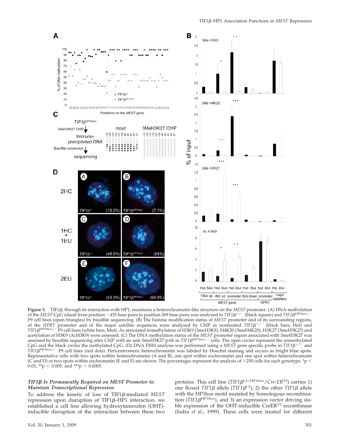

**Figure 3.** TIF1 $\beta$ , through its interaction with HP1, maintains a heterochromatin-like structure on the *MEST* promoter. (A) DNA methylation of the *MEST* CpG island from position -455 base pairs to position 269 base pairs was analyzed in *TIF1* $\beta^{+/-}$  (black square) and *TIF1* $\beta^{HP1bow/}$ F9 cell lines (open triangles) by bisulfite sequencing. (B) The histone modification status of *MEST* promoter and of its surrounding regions, of the *HPRT* promoter and of the major satellite sequences were analyzed by ChIP in nontreated  $TIF1\beta^{+/-}$  (black bars; Het) and *TIF1*HP1box/ F9 cell lines (white bars; Mut). As annotated trimethylation of H3K9 (3meH3K9), H4K20 (3meH4K20), H3K27 (3meH3K27) and acetylation of H3K9 (AcH3K9) were assessed. (C) The DNA methylation status of the *MEST* promoter region associated with 3meH3K27 was assessed by bisulfite sequencing after ChIP with an anti-3meH3K27 pAb in *TIF1B<sup>HP1box/-</sup>* cells. The open circles represent the unmethylated CpG and the black circles the methylated CpG. (D) DNA FISH analysis was performed using a *MEST* gene specific probe in  $TIF1\beta^{+/}$  and *TIF1* $\beta$ <sup>HP1box/-</sup> F9 cell lines (red dots). Pericentromeric heterochromatin was labeled by Hoechst staining and occurs as bright blue spots. Representative cells with two spots within heterochromatin (A and B), one spot within euchromatin and one spot within heterochromatin (C and D) or two spots within euchromatin (E and F) are shown. The percentages represent the analysis of  $>$ 250 cells for each genotype. \*p  $\leq$ 0.05,  $*$ p < 0.005, and  $**$ p < 0.0005.

### *TIF1 Is Permanently Required on MEST Promoter to Maintain Transcriptional Repression*

To address the kinetic of loss of TIF1ß-mediated MEST repression upon disruption of TIF1 $\beta$ –HP1 interaction, we established a cell line allowing hydroxytamoxifen (OHT) inducible disruption of the interaction between these two proteins. This cell line (*TIF1* $\beta$ <sup>L2/HP1box</sup>/*Cre-ER*<sup>T2</sup>) carries 1) one floxed *TIF1* $\beta$  allele (*TIF1* $\beta$ <sup>L2</sup>), 2) the other *TIF1* $\beta$  allele with the HP1box motif mutated by homologous recombination ( $TIF1\beta$ <sup>HP1box</sup>), and 3) an expression vector driving stable expression of the OHT-inducible CreER<sup>T2</sup> recombinase (Indra *et al*., 1999). These cells were treated for different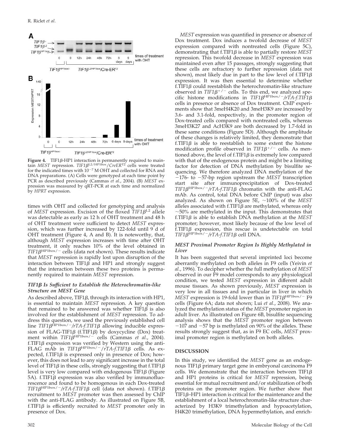

**Figure 4.** TIF1β-HP1 interaction is permanently required to main-<br>tain *MEST* repression. *TIF1β*<sup>L2/HP1box</sup>/*CreER*<sup>T2</sup> cells were treated for the indicated times with  $10^{-7}$  M OHT and collected for RNA and DNA preparations. (A) Cells were genotyped at each time point by PCR as described previously (Cammas *et al*., 2004). (B) *MEST* expression was measured by qRT-PCR at each time and normalized by *HPRT* expression.

times with OHT and collected for genotyping and analysis of *MEST* expression. Excision of the floxed  $TIF1\beta^{L2}$  allele was detectable as early as 12 h of OHT treatment and 48 h of OHT treatment were sufficient to detect *MEST* expression, which was further increased by 122-fold until 9 d of OHT treatment (Figure 4, A and B). It is noteworthy, that, although *MEST* expression increases with time after OHT treatment, it only reaches 10% of the level obtained in  $TIF1\beta^{HP1box/-}$  cells (data not shown). These results indicate that *MEST* repression is rapidly lost upon disruption of the interaction between TIF1 $\beta$  and HP1 and strongly suggest that the interaction between these two proteins is permanently required to maintain *MEST* repression.

# *TIF1 Is Sufficient to Establish the Heterochromatin-like Structure on MEST Gene*

As described above, TIF1 $\beta$ , through its interaction with HP1, is essential to maintain *MEST* repression. A key question that remained to be answered was whether  $TIF1B$  is also involved for the establishment of *MEST* repression. To address this question, we used the previously established cell line *TIF1B*<sup>HP1box/-/rTA-f.TIF1*B* allowing inducible expres-</sup> sion of FLAG-TIF1 $\beta$  (f.TIF1 $\beta$ ) by doxycycline (Dox) treatment within *TIF1β*<sup>HP1box/-</sup> cells (Cammas *et al.*, 2004). f.TIF1 $\beta$  expression was verified by Western using the anti-FLAG mAb in  $TIF1\beta$ <sup>HP1box/-</sup>/*rTA-f.TIF1* $\beta$  cells. As expected, f.TIF1 $\beta$  is expressed only in presence of Dox; however, this does not lead to any significant increase in the total level of TIF1 $\beta$  in these cells, strongly suggesting that f.TIF1 $\beta$ level is very low compared with endogenous  $TIF1\beta$  (Figure 5A). f.TIF1 $\beta$  expression was also verified by immunofluorescence and found to be homogenous in each Dox-treated  $TIF1\beta$ <sup>HP1box/-</sup>/rTA-f.TIF1 $\beta$  cell (data not shown). f.TIF1 $\beta$ recruitment to *MEST* promoter was then assessed by ChIP with the anti-FLAG antibody. As illustrated on Figure 5B,  $f.\text{TIF1}\beta$  is efficiently recruited to *MEST* promoter only in presence of Dox.

*MEST* expression was quantified in presence or absence of Dox treatment. Dox induces a twofold decrease of *MEST* expression compared with nontreated cells (Figure 5C), demonstrating that f.TIF1 $\beta$  is able to partially restore *MEST* repression. This twofold decrease in *MEST* expression was maintained even after 15 passages, strongly suggesting that these cells are refractory to further repression (data not shown), most likely due in part to the low level of f.TIF1 $\beta$ expression. It was then essential to determine whether f.TIF1 $\beta$  could reestablish the heterochromatin-like structure observed in  $TIF1\beta^{+/-}$  cells. To this end, we analyzed specific histone modifications in  $TIF1\beta$ <sup>HP1box/-</sup>/rTA-f.TIF1 $\beta$ cells in presence or absence of Dox treatment. ChIP experiments show that 3meH4K20 and 3meH3K9 are increased by 3.6- and 3.1-fold, respectively, in the promoter region of Dox-treated cells compared with nontreated cells, whereas 3meH3K27 and AcH3K9 are both decreased by 1.7-fold in these same conditions (Figure 5D). Although the amplitude of these changes is relatively limited, they demonstrate that  $f.\overline{TIF1B}$  is able to reestablish to some extent the histone modification profile observed in  $TIF1\beta^{+/-}$  cells. As mentioned above, the level of f.TIF1 $\beta$  is extremely low compared with that of the endogenous protein and might be a limiting factor for detection of DNA methylation by bisulfite sequencing. We therefore analyzed DNA methylation of the  $-176$ - to  $-57$ -bp region upstream the *MEST* transcription start site after immunoprecipitation of Dox-treated  $TIF1B^{\text{HP1box}/-}/rTA$ -*f.TIF1* $\beta$  chromatin with the anti-FLAG mAb. As control, total DNA before ChIP (input) was also analyzed. As shown on Figure  $5E$ ,  $\sim$ 100% of the *MEST* alleles associated with f.TIF1 $\beta$  are methylated, whereas only  $~\sim$ 50% are methylated in the input. This demonstrates that f.TIF1 $\beta$  is able to establish DNA methylation at the *MEST* promoter; however, most likely because of the low level of  $f.\overline{TIF1}\beta$  expression, this rescue is undetectable on total  $TIF1\beta$ <sup>HP1box/-</sup>/rTA-f.TIF1 $\beta$  cell DNA.

## *MEST Proximal Promoter Region Is Highly Methylated in Liver*

It has been suggested that several imprinted loci become aberrantly methylated on both alleles in F9 cells (Yeivin *et al*., 1996). To decipher whether the full methylation of *MEST* observed in our F9 model corresponds to any physiological condition, we tested *MEST* expression in different adult mouse tissues. As shown previously, *MEST* expression is very low in all tissues and in particular in liver in which *MEST* expression is 19-fold lower than in  $TIF1\beta^{HP1box/-}F9$ cells (Figure 6A; data not shown; Lui *et al*., 2008). We analyzed the methylation status of the *MEST* promoter region in adult liver. As illustrated on Figure 6B, bisulfite sequencing analysis shows that the *MEST* promoter region between  $-107$  and  $-57$  bp is methylated on 90% of the alleles. These results strongly suggest that, as in F9 EC cells, *MEST* proximal promoter region is methylated on both alleles.

# **DISCUSSION**

In this study, we identified the *MEST* gene as an endogenous TIF1 $\beta$  primary target gene in embryonal carcinoma F9 cells. We demonstrate that the interaction between TIF1 $\beta$ and HP1 proteins is critical for *MEST* repression, being essential for mutual recruitment and/or stabilization of both proteins on the promoter region. We further show that  $TIF1\beta$ –HP1 interaction is critical for the maintenance and the establishment of a local heterochromatin-like structure characterized by H3K9 trimethylation and hypoacetylation, H4K20 trimethylation, DNA hypermethylation, and enrich-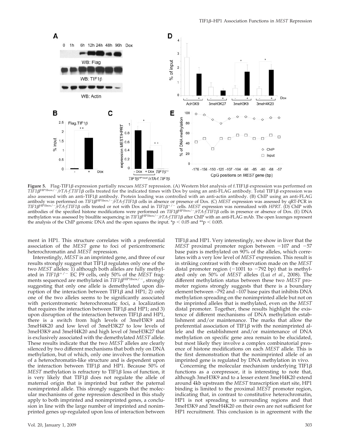

**Figure 5.** Flag-TIF1 $\beta$  expression partially rescues *MEST* repression. (A) Western blot analysis of f.TIF1 $\beta$  expression was performed on  $TIF1\beta^{HP1box/-}/rTA-f.TIF1\beta$  cells treated for the indicated times with Dox by using an anti-FLAG antibody. Total TIF1 $\beta$  expression was also assessed with an anti-TIF1 $\beta$  antibody. Protein loading was controlled with an anti-actin antibody. (B) ChIP using an anti-FLAG antibody was performed on *TIF1* $\beta^{\text{HP1box}/-}/rTA$ -*f.TIF1* $\beta$  cells in absence or presence of Dox. (C) MEST expression was assessed by qRT-PCR in *TIF1* $\beta$ <sup>HP1box/- $\gamma$ *TA-f.TIF1* $\beta$  cells treated or not with Dox and in *TIF1* $\beta$ <sup>+/-</sup> cells. *MEST* expression was normalized with *HPRT*. (D) ChIP with</sup> antibodies of the specified histone modifications were performed on *TIF1* $\beta$ <sup>HP1box/-</sup>/*rTA-f.TIF1* $\beta$  cells in presence or absence of Dox. (E) DNA methylation was assessed by bisulfite sequencing in  $TIF1B^{\text{HP1bow}/-}/TIA+fTIF1B$  after ChIP with an anti-FLAG mAb. The open lozenges represent the analysis of the ChIP genomic DNA and the open squares the input. \*p  $\lt$  0.05 and \*\*p  $\lt$  0.005.

ment in HP1. This structure correlates with a preferential association of the *MEST* gene to foci of pericentromeric heterochromatin and *MEST* repression.

Interestingly, *MEST* is an imprinted gene, and three of our results strongly suggest that  $TIF1\beta$  regulates only one of the two *MEST* alleles: 1) although both alleles are fully methylated in  $TIF1\beta^{+/-}$  EC F9 cells, only 50% of the *MEST* fragments sequenced are methylated in  $TIF1\beta^{HP1box/-}$ , strongly suggesting that only one allele is demethylated upon disruption of the interaction between TIF1 $\beta$  and HP1; 2) only one of the two alleles seems to be significantly associated with pericentromeric heterochromatic foci, a localization that requires the interaction between TIF1 $\beta$  and HP1; and 3) upon disruption of the interaction between TIF1 $\beta$  and HP1, there is a switch from high levels of 3meH3K9 and 3meH4K20 and low level of 3meH3K27 to low levels of 3meH3K9 and 3meH4K20 and high level of 3meH3K27 that is exclusively associated with the demethylated *MEST* allele. These results indicate that the two *MEST* alleles are clearly silenced by two different mechanisms that both rely on DNA methylation, but of which, only one involves the formation of a heterochromatin-like structure and is dependent upon the interaction between TIF1 $\beta$  and HP1. Because 50% of  $MEST$  methylation is refractory to TIF1 $\beta$  loss of function, it is very likely that TIF1 $\beta$  does not regulate the allele of maternal origin that is imprinted but rather the paternal nonimprinted allele. This strongly suggests that the molecular mechanisms of gene repression described in this study apply to both imprinted and nonimprinted genes, a conclusion in line with the large number of imprinted and nonimprinted genes up-regulated upon loss of interaction between

TIF1 $\beta$  and HP1. Very interestingly, we show in liver that the *MEST* proximal promoter region between  $-107$  and  $-57$ base pairs is methylated on 90% of the alleles, which correlates with a very low level of *MEST* expression. This result is in striking contrast with the observation made on the *MEST* distal promoter region ( $-1001$  to  $-792$  bp) that is methylated only on 50% of *MEST* alleles (Lui *et al*., 2008). The different methylation status between these two *MEST* promoter regions strongly suggests that there is a boundary element between –792 and –107 base pairs that inhibits DNA methylation spreading on the nonimprinted allele but not on the imprinted alleles that is methylated, even on the *MEST* distal promoter. Together, these results highlight the existence of different mechanisms of DNA methylation establishment and/or maintenance. The marks that allow the preferential association of TIF1 $\beta$  with the nonimprinted allele and the establishment and/or maintenance of DNA methylation on specific gene area remain to be elucidated, but most likely they involve a complex combinatorial presence of histone modifications on each *MEST* allele. This is the first demonstration that the nonimprinted allele of an imprinted gene is regulated by DNA methylation in vivo.

Concerning the molecular mechanism underlying TIF1 $\beta$ functions as a corepressor, it is interesting to note that, although 3meH3K9 and to a lesser extent 3meH4K20 extend around 4kb upstream the *MEST* transcription start site, HP1 binding is limited to the proximal *MEST* promoter region, indicating that, in contrast to constitutive heterochromatin, HP1 is not spreading to surrounding regions and that 3meH3K9 and 3meH4K20 on their own are not sufficient for HP1 recruitment. This conclusion is in agreement with the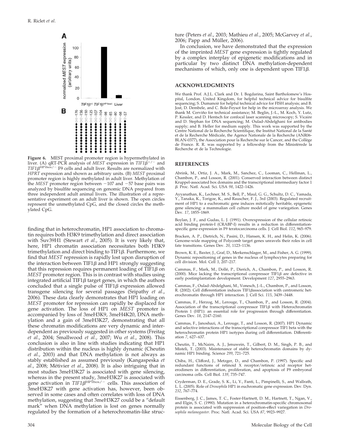

**Figure 6.** MEST proximal promoter region is hypermethylated in liver. (A) qRT-PCR analysis of *MEST* expression in  $TIF1\beta^{+/-}$  and  $TIF1B^{\text{HP1b}}\text{dx}/\text{--}$  F9 cells and adult liver. Results are normalized with *HPRT* expression and shown as arbitrary units. (B) *MEST* proximal promoter region is highly methylated in adult liver. Methylation of the *MEST* promoter region between  $-107$  and  $-57$  base pairs was analyzed by bisulfite sequencing on genomic DNA prepared from three independent adult animal livers. The illustration of a representative experiment on an adult liver is shown. The open circles represent the unmethylated CpG, and the closed circles the methylated CpG.

finding that in heterochromatin, HP1 association to chromatin requires both H3K9 trimethylation and direct association with Suv39H1 (Stewart *et al*., 2005). It is very likely that, here, HP1 chromatin association necessitates both H3K9 trimethylation and direct binding to TIF1 $\beta$ . Furthermore, we find that *MEST* repression is rapidly lost upon disruption of the interaction between TIF1 $\beta$  and HP1 strongly suggesting that this repression requires permanent loading of  $TIF1\beta$  on *MEST* promoter region. This is in contrast with studies using integrated artificial TIF1 $\beta$  target genes, in which the authors concluded that a single pulse of  $TIF1\beta$  expression allowed transgene silencing for several passages (Sripathy *et al*., 2006). These data clearly demonstrates that HP1 loading on *MEST* promoter for repression can rapidly be displaced for gene activation. The loss of HP1 on *MEST* promoter is accompanied by loss of 3meH3K9, 3meH4K20, DNA methylation and a gain of 3meH3K27, demonstrating that all these chromatin modifications are very dynamic and interdependent as previously suggested in other systems (Freitag *et al*., 2004; Smallwood *et al*., 2007; Wu *et al*., 2008). This conclusion is also in line with studies indicating that HP1 distribution within the nucleus is highly dynamic (Cheutin *et al*., 2003) and that DNA methylation is not always as stably established as assumed previously (Kangaspeska *et al.,* 2008; Métivier *et al.,* 2008). It is also intriguing that in most studies 3meH3K27 is associated with gene silencing, whereas in the present study, 3meH3K27 is associated with gene activation in  $TIF1\beta^{HP1box/-}$  cells. This association of 3meH3K27 with gene activation has, however, been observed in some cases and often correlates with loss of DNA methylation, suggesting that 3meH3K27 could be a "default mark" when DNA methylation is lost on genes normally regulated by the formation of a heterochromatin-like structure (Peters *et al*., 2003; Mathieu *et al*., 2005; McGarvey *et al*., 2006; Papp and Müller, 2006).

In conclusion, we have demonstrated that the expression of the imprinted *MEST* gene expression is tightly regulated by a complex interplay of epigenetic modifications and in particular by two distinct DNA methylation-dependent mechanisms of which, only one is dependent upon  $TIF1\beta$ .

#### **ACKNOWLEDGMENTS**

We thank Prof. A.J.L. Clark and Dr. I. Bogdarina, Saint Bartholomew's Hospital, London, United Kingdom, for helpful technical advice for bisulfite sequencing; S. Dumanoir for helpful technical advice for FISH analysis; and B. Jost, D. Dembele, and C. Bole-Feysot for help in the microarray analysis. We thank M. Cerviño for technical assistance; M. Beglin, J.-L., M. Koch, Y. Lutz, P. Kessler, and D. Hentsch for confocal laser scanning microscopy; S. Vicaire and D. Stephan for DNA sequencing; M. Oulad-Abdelghani for antibodies supply; and B. Heller for medium supply. This work was supported by the Centre National de la Recherche Scientifique, the Institut National de la Santé et de la Recherche Médicale, the Agence Nationale de la Recherche (ANR06-BLAN-0377), the Association pour la Recherche sur le Cancer, and the Collège de France. R. R. was supported by a fellowship from the Ministèrede la Recherche et de la Technologie.

### **REFERENCES**

Abrink, M., Ortiz, J. A., Mark, M., Sanchez, C., Looman, C., Hellman, L., Chambon, P., and Losson, R. (2001). Conserved interaction between distinct Kruppel-associated box domains and the transcriptional intermediary factor 1 . Proc. Natl. Acad. Sci. USA *98*, 1422–1426.

Ayyanathan, K., Lechner, M. S., Bell, P., Maul, G. G., Schultz, D. C., Yamada, Y., Tanaka, K., Torigoe, K., and Rauscher, F. J., 3rd (2003). Regulated recruitment of HP1 to a euchromatic gene induces mitotically heritable, epigenetic gene silencing: a mammalian cell culture model of gene variegation. Genes Dev. *17*, 1855–1869.

Boylan, J. F., and Gudas, L. J. (1991). Overexpression of the cellular retinoic acid binding protein-I (CRABP-I) results in a reduction in differentiationspecific gene expression in F9 teratocarcinoma cells. J. Cell Biol. *112*, 965–979.

Bracken, A. P., Dietrich, N., Pasini, D., Hansen, K. H., and Helin, K. (2006). Genome-wide mapping of Polycomb target genes unravels their roles in cell fate transitions. Genes Dev. *20*, 1123–1136.

Brown, K. E., Baxter, J., Graf, D., Merkenschlager, M., and Fisher, A. G. (1999). Dynamic repositioning of genes in the nucleus of lymphocytes preparing for cell division. Mol. Cell *3*, 207–217.

Cammas, F., Mark, M., Dollé, P., Dierich, A., Chambon, P., and Losson, R. (2000). Mice lacking the transcriptional corepressor TIF1 $\beta$  are defective in early postimplantation development. Development *127*, 2955–2963.

Cammas, F., Oulad-Abdelghani, M., Vonesch, J.-L., Chambon, P., and Losson, R. (2002). Cell differentiation induces TIF1 $\beta$ association with centromeric heterochromatin through HP1 interaction. J. Cell Sci. *115*, 3439–3448.

Cammas, F., Herzog, M., Lerouge, T., Chambon, P., and Losson, R. (2004). Association of the transcriptional corepressor TIF1 $\beta$  with Heterochromatin Protein 1 (HP1): an essential role for progression through differentiation. Genes Dev. *18*, 2147–2160.

Cammas, F., Janoshazi, A., Lerouge, T., and Losson, R. (2007). HP1 Dynamic and selective interactions of the transcriptional corepressor TIF1 beta with the heterochromatin protein HP1 isotypes during cell differentiation. Differentiation *7*, 627–637.

Cheutin, T., McNairn, A. J., Jenuwein, T., Gilbert, D. M., Singh, P. B., and Misteli, T. (2003). Maintenance of stable heterochromatin domains by dynamic HP1 binding. Science *299*, 721–725.

Chiba, H., Clifford, J., Metzger, D., and Chambon, P. (1997). Specific and redundant functions of retinoid X receptor/retinoic acid receptor heterodimers in differentiation, proliferation, and apoptosis of F9 embryonal carcinoma cells. Cell Biol. *139*, 735–747.

Cryderman, D. E., Grade, S. K., Li, Y., Fanti, L., Pimpinelli, S., and Wallrath, L. L. (2005). Role of *Drosophila* HP1 in euchromatic gene expression. Dev. Dyn. *232*, 767–774.

Eissenberg, J. C., James, T. C., Foster-Hartnett, D. M., Hartnett, T., Ngan, V., and Elgin, S. C. (1990). Mutation in a heterochromatin-specific chromosomal protein is associated with suppression of position-effect variegation in *Drosophila melanogaster*. Proc. Natl. Acad. Sci. USA *87*, 9923–9927.